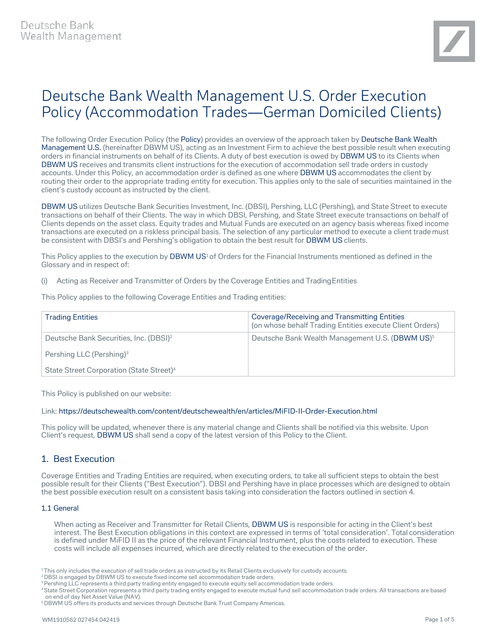# Deutsche Bank Wealth Management U.S. Order Execution Policy (Accommodation Trades—German Domiciled Clients)

The following Order Execution Policy (the Policy) provides an overview of the approach taken by Deutsche Bank Wealth Management U.S. (hereinafter DBWM US), acting as an Investment Firm to achieve the best possible result when executing orders in financial instruments on behalf of its Clients. A duty of best execution is owed by DBWM US to its Clients when DBWM US receives and transmits client instructions for the execution of accommodation sell trade orders in custody accounts. Under this Policy, an accommodation order is defined as one where DBWM US accommodates the client by routing their order to the appropriate trading entity for execution. This applies only to the sale of securities maintained in the client's custody account as instructed by the client.

DBWM US utilizes Deutsche Bank Securities Investment, Inc. (DBSI), Pershing, LLC (Pershing), and State Street to execute transactions on behalf of their Clients. The way in which DBSI, Pershing, and State Street execute transactions on behalf of Clients depends on the asset class. Equity trades and Mutual Funds are executed on an agency basis whereas fixed income transactions are executed on a riskless principal basis. The selection of any particular method to execute a client trade must be consistent with DBSI's and Pershing's obligation to obtain the best result for DBWM US clients.

This Policy applies to the execution by DBWM US<sup>1</sup> of Orders for the Financial Instruments mentioned as defined in the Glossary and in respect of:

(i) Acting as Receiver and Transmitter of Orders by the Coverage Entities and TradingEntities

This Policy applies to the following Coverage Entities and Trading entities:

| <b>Trading Entities</b>                              | <b>Coverage/Receiving and Transmitting Entities</b><br>(on whose behalf Trading Entities execute Client Orders) |
|------------------------------------------------------|-----------------------------------------------------------------------------------------------------------------|
| Deutsche Bank Securities, Inc. (DBSI) <sup>2</sup>   | Deutsche Bank Wealth Management U.S. (DBWM US) <sup>5</sup>                                                     |
| Pershing LLC (Pershing) <sup>3</sup>                 |                                                                                                                 |
| State Street Corporation (State Street) <sup>4</sup> |                                                                                                                 |

This Policy is published on our website:

## Link[: https://deutschewealth.com/content/deutschewealth/en/articles/MiFID-II-Order-Execution.html](https://deutschewealth.com/content/deutschewealth/en/articles/MiFID-II-Order-Execution.html)

This policy will be updated, whenever there is any material change and Clients shall be notified via this website. Upon Client's request, DBWM US shall send a copy of the latest version of this Policy to the Client.

# 1. Best Execution

Coverage Entities and Trading Entities are required, when executing orders, to take all sufficient steps to obtain the best possible result for their Clients ("Best Execution"). DBSI and Pershing have in place processes which are designed to obtain the best possible execution result on a consistent basis taking into consideration the factors outlined in section 4.

## 1.1 General

When acting as Receiver and Transmitter for Retail Clients, DBWM US is responsible for acting in the Client's best interest. The Best Execution obligations in this context are expressed in terms of 'total consideration'. Total consideration is defined under MiFID II as the price of the relevant Financial Instrument, plus the costs related to execution. These costs will include all expenses incurred, which are directly related to the execution of the order.

<sup>1</sup> This only includes the execution of sell trade orders as instructed by its Retail Clients exclusively for custody accounts.

<sup>2</sup> DBSI is engaged by DBWM US to execute fixed income sell accommodation trade orders.

<sup>&</sup>lt;sup>3</sup> Pershing LLC represents a third party trading entity engaged to execute equity sell accommodation trade orders.

<sup>4</sup> State Street Corporation represents a third party trading entity engaged to execute mutual fund sell accommodation trade orders. All transactions are based on end of day Net Asset Value (NAV).

<sup>&</sup>lt;sup>5</sup>DBWM US offers its products and services through Deutsche Bank Trust Company Americas.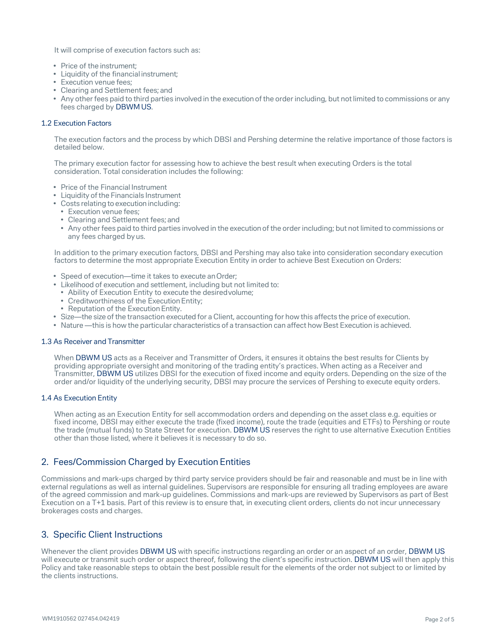It will comprise of execution factors such as:

- Price of the instrument;
- Liquidity of the financial instrument;
- Execution venue fees;
- Clearing and Settlement fees; and
- Any other fees paid to third parties involved in the execution of the order including, but not limited to commissions or any fees charged by DBWM US.

## 1.2 Execution Factors

The execution factors and the process by which DBSI and Pershing determine the relative importance of those factors is detailed below.

The primary execution factor for assessing how to achieve the best result when executing Orders is the total consideration. Total consideration includes the following:

- Price of the Financial Instrument
- Liquidity of the Financials Instrument
- Costs relating to execution including:
	- Execution venue fees;
	- Clearing and Settlement fees; and
	- Any other fees paid to third parties involved in the execution of the order including; but notlimited to commissions or any fees charged by us.

In addition to the primary execution factors, DBSI and Pershing may also take into consideration secondary execution factors to determine the most appropriate Execution Entity in order to achieve Best Execution on Orders:

- Speed of execution—time it takes to execute anOrder;
- Likelihood of execution and settlement, including but not limited to:
	- Ability of Execution Entity to execute the desiredvolume;
	- Creditworthiness of the Execution Entity;
	- Reputation of the Execution Entity.
- Size—the size of the transaction executed for a Client, accounting for how this affects the price of execution.
- Nature —this is how the particular characteristics of a transaction can affect how Best Execution is achieved.

#### 1.3 As Receiver and Transmitter

When DBWM US acts as a Receiver and Transmitter of Orders, it ensures it obtains the best results for Clients by providing appropriate oversight and monitoring of the trading entity's practices. When acting as a Receiver and Transmitter, DBWM US utilizes DBSI for the execution of fixed income and equity orders. Depending on the size of the order and/or liquidity of the underlying security, DBSI may procure the services of Pershing to execute equity orders.

#### 1.4 As Execution Entity

When acting as an Execution Entity for sell accommodation orders and depending on the asset class e.g. equities or fixed income, DBSI may either execute the trade (fixed income), route the trade (equities and ETFs) to Pershing or route the trade (mutual funds) to State Street for execution. DBWM US reserves the right to use alternative Execution Entities other than those listed, where it believes it is necessary to do so.

# 2. Fees/Commission Charged by Execution Entities

Commissions and mark-ups charged by third party service providers should be fair and reasonable and must be in line with external regulations as well as internal guidelines. Supervisors are responsible for ensuring all trading employees are aware of the agreed commission and mark-up guidelines. Commissions and mark-ups are reviewed by Supervisors as part of Best Execution on a T+1 basis. Part of this review is to ensure that, in executing client orders, clients do not incur unnecessary brokerages costs and charges.

# 3. Specific Client Instructions

Whenever the client provides DBWM US with specific instructions regarding an order or an aspect of an order, DBWM US will execute or transmit such order or aspect thereof, following the client's specific instruction. DBWM US will then apply this Policy and take reasonable steps to obtain the best possible result for the elements of the order not subject to or limited by the clients instructions.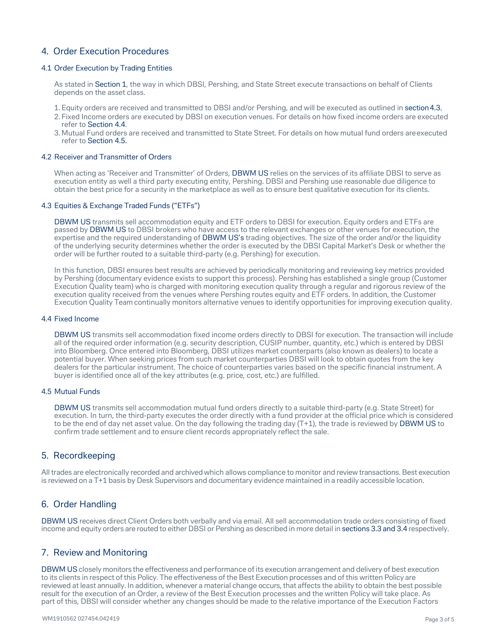# 4. Order Execution Procedures

## 4.1 Order Execution by Trading Entities

As stated in Section 1, the way in which DBSI, Pershing, and State Street execute transactions on behalf of Clients depends on the asset class.

- 1.Equity orders are received and transmitted to DBSI and/or Pershing, and will be executed as outlined in section4.3.
- 2. Fixed Income orders are executed by DBSI on execution venues. For details on how fixed income orders are executed refer to Section 4.4.
- 3. Mutual Fund orders are received and transmitted to State Street. For details on how mutual fund orders areexecuted refer to Section 4.5.

## 4.2 Receiver and Transmitter of Orders

When acting as 'Receiver and Transmitter' of Orders, DBWM US relies on the services of its affiliate DBSI to serve as execution entity as well a third party executing entity, Pershing. DBSI and Pershing use reasonable due diligence to obtain the best price for a security in the marketplace as well as to ensure best qualitative execution for its clients.

#### 4.3 Equities & Exchange Traded Funds ("ETFs")

DBWM US transmits sell accommodation equity and ETF orders to DBSI for execution. Equity orders and ETFs are passed by DBWM US to DBSI brokers who have access to the relevant exchanges or other venues for execution, the expertise and the required understanding of DBWM US's trading objectives. The size of the order and/or the liquidity of the underlying security determines whether the order is executed by the DBSI Capital Market's Desk or whether the order will be further routed to a suitable third-party (e.g. Pershing) for execution.

In this function, DBSI ensures best results are achieved by periodically monitoring and reviewing key metrics provided by Pershing (documentary evidence exists to support this process). Pershing has established a single group (Customer Execution Quality team) who is charged with monitoring execution quality through a regular and rigorous review of the execution quality received from the venues where Pershing routes equity and ETF orders. In addition, the Customer Execution Quality Team continually monitors alternative venues to identify opportunities for improving execution quality.

#### 4.4 Fixed Income

DBWM US transmits sell accommodation fixed income orders directly to DBSI for execution. The transaction will include all of the required order information (e.g. security description, CUSIP number, quantity, etc.) which is entered by DBSI into Bloomberg. Once entered into Bloomberg, DBSI utilizes market counterparts (also known as dealers) to locate a potential buyer. When seeking prices from such market counterparties DBSI will look to obtain quotes from the key dealers for the particular instrument. The choice of counterparties varies based on the specific financial instrument. A buyer is identified once all of the key attributes (e.g. price, cost, etc.) are fulfilled.

## 4.5 Mutual Funds

DBWM US transmits sell accommodation mutual fund orders directly to a suitable third-party (e.g. State Street) for execution. In turn, the third-party executes the order directly with a fund provider at the official price which is considered to be the end of day net asset value. On the day following the trading day (T+1), the trade is reviewed by DBWM US to confirm trade settlement and to ensure client records appropriately reflect the sale.

# 5. Recordkeeping

All trades are electronically recorded and archived which allows compliance to monitor and review transactions. Best execution is reviewed on a T+1 basis by Desk Supervisors and documentary evidence maintained in a readily accessible location.

# 6. Order Handling

DBWM US receives direct Client Orders both verbally and via email. All sell accommodation trade orders consisting of fixed income and equity orders are routed to either DBSI or Pershing as described in more detail in sections 3.3 and 3.4 respectively.

## 7. Review and Monitoring

DBWM US closely monitors the effectiveness and performance of its execution arrangement and delivery of best execution to its clients in respect of this Policy. The effectiveness of the Best Execution processes and of this written Policy are reviewed at least annually. In addition, whenever a material change occurs, that affects the ability to obtain the best possible result for the execution of an Order, a review of the Best Execution processes and the written Policy will take place. As part of this, DBSI will consider whether any changes should be made to the relative importance of the Execution Factors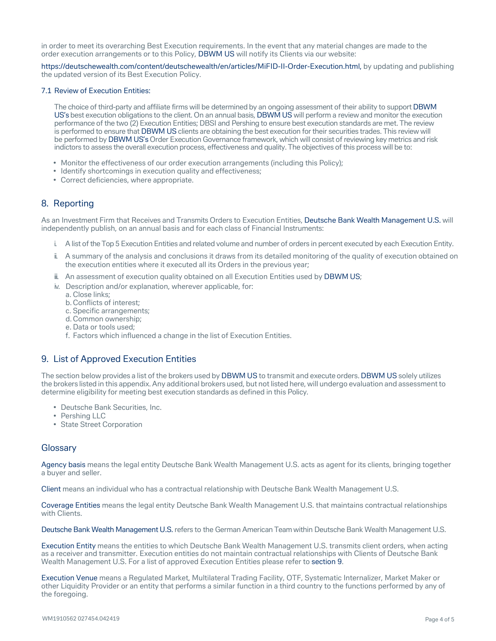in order to meet its overarching Best Execution requirements. In the event that any material changes are made to the order execution arrangements or to this Policy, DBWM US will notify its Clients via our website:

[https://deutschewealth.com/content/deutschewealth/en/articles/MiFID-II-Order-Execution.html,](https://deutschewealth.com/content/deutschewealth/en/articles/MiFID-II-Order-Execution.html) by updating and publishing the updated version of its Best Execution Policy.

#### 7.1 Review of Execution Entities:

The choice of third-party and affiliate firms will be determined by an ongoing assessment of their ability to support DBWM US's best execution obligations to the client. On an annual basis, DBWM US will perform a review and monitor the execution performance of the two (2) Execution Entities; DBSI and Pershing to ensure best execution standards are met. The review is performed to ensure that DBWM US clients are obtaining the best execution for their securities trades. This review will be performed by DBWM US's Order Execution Governance framework, which will consist of reviewing key metrics and risk indictors to assess the overall execution process, effectiveness and quality. The objectives of this process will be to:

- Monitor the effectiveness of our order execution arrangements (including this Policy);
- Identify shortcomings in execution quality and effectiveness;
- Correct deficiencies, where appropriate.

# 8. Reporting

As an Investment Firm that Receives and Transmits Orders to Execution Entities, Deutsche Bank Wealth Management U.S. will independently publish, on an annual basis and for each class of Financial Instruments:

- i. A list of the Top 5 Execution Entities and related volume and number of orders in percent executed by each Execution Entity.
- ii. A summary of the analysis and conclusions it draws from its detailed monitoring of the quality of execution obtained on the execution entities where it executed all its Orders in the previous year;
- ii. An assessment of execution quality obtained on all Execution Entities used by DBWM US;
- iv. Description and/or explanation, wherever applicable, for:
	- a. Close links;
	- b. Conflicts of interest;
	- c. Specific arrangements;
	- d. Common ownership;
	- e. Data or tools used;
	- f. Factors which influenced a change in the list of Execution Entities.

# 9. List of Approved Execution Entities

The section below provides a list of the brokers used by DBWM US to transmit and execute orders. DBWM US solely utilizes the brokers listed in this appendix.Any additional brokers used, but not listed here, will undergo evaluation and assessment to determine eligibility for meeting best execution standards as defined in this Policy.

- Deutsche Bank Securities, Inc.
- Pershing LLC
- State Street Corporation

## **Glossary**

Agency basis means the legal entity Deutsche Bank Wealth Management U.S. acts as agent for its clients, bringing together a buyer and seller.

Client means an individual who has a contractual relationship with Deutsche Bank Wealth Management U.S.

Coverage Entities means the legal entity Deutsche Bank Wealth Management U.S. that maintains contractual relationships with Clients.

Deutsche Bank Wealth Management U.S. refers to the German American Team within Deutsche Bank Wealth Management U.S.

Execution Entity means the entities to which Deutsche Bank Wealth Management U.S. transmits client orders, when acting as a receiver and transmitter. Execution entities do not maintain contractual relationships with Clients of Deutsche Bank Wealth Management U.S. For a list of approved Execution Entities please refer to section 9.

Execution Venue means a Regulated Market, Multilateral Trading Facility, OTF, Systematic Internalizer, Market Maker or other Liquidity Provider or an entity that performs a similar function in a third country to the functions performed by any of the foregoing.